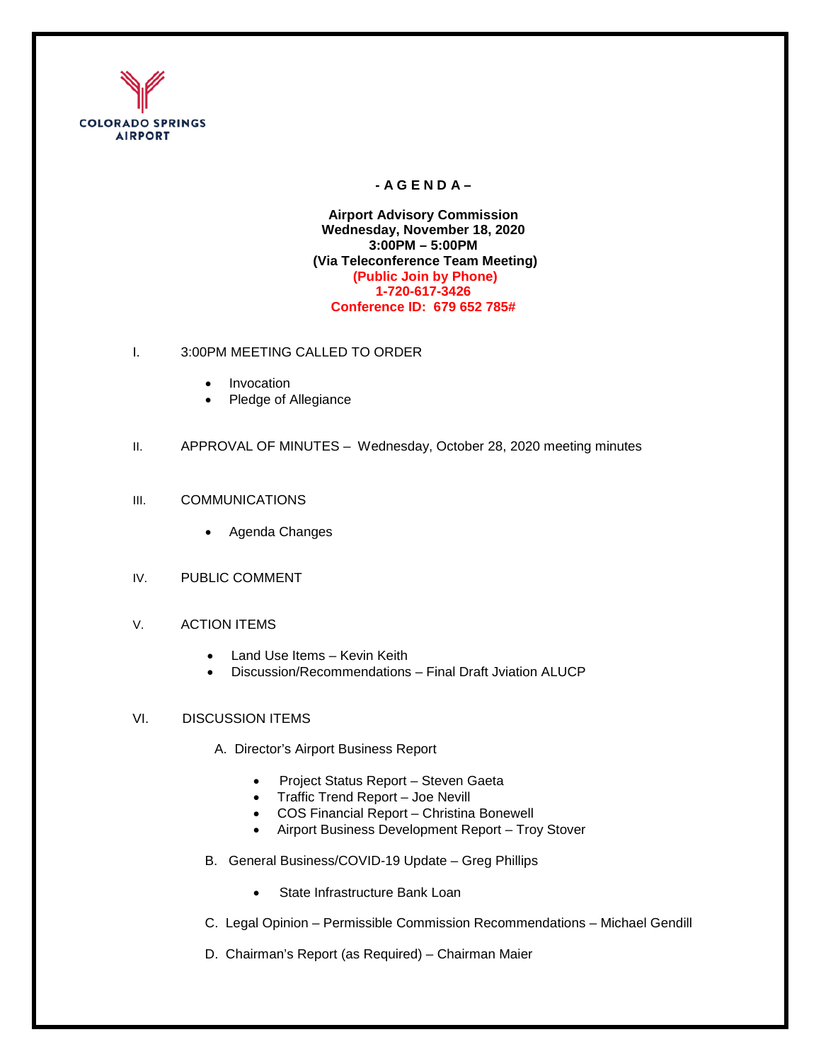

# **- A G E N D A –**

**Airport Advisory Commission Wednesday, November 18, 2020 3:00PM – 5:00PM (Via Teleconference Team Meeting) (Public Join by Phone) 1-720-617-3426 Conference ID: 679 652 785#** 

- I. 3:00PM MEETING CALLED TO ORDER
	- Invocation
	- Pledge of Allegiance
- II. APPROVAL OF MINUTES Wednesday, October 28, 2020 meeting minutes

### III. COMMUNICATIONS

- Agenda Changes
- IV. PUBLIC COMMENT
- V. ACTION ITEMS
	- Land Use Items Kevin Keith
	- Discussion/Recommendations Final Draft Jviation ALUCP

# VI. DISCUSSION ITEMS

- A. Director's Airport Business Report
	- Project Status Report Steven Gaeta
	- Traffic Trend Report Joe Nevill
	- COS Financial Report Christina Bonewell
	- Airport Business Development Report Troy Stover
- B. General Business/COVID-19 Update Greg Phillips
	- State Infrastructure Bank Loan
- C. Legal Opinion Permissible Commission Recommendations Michael Gendill
- D. Chairman's Report (as Required) Chairman Maier